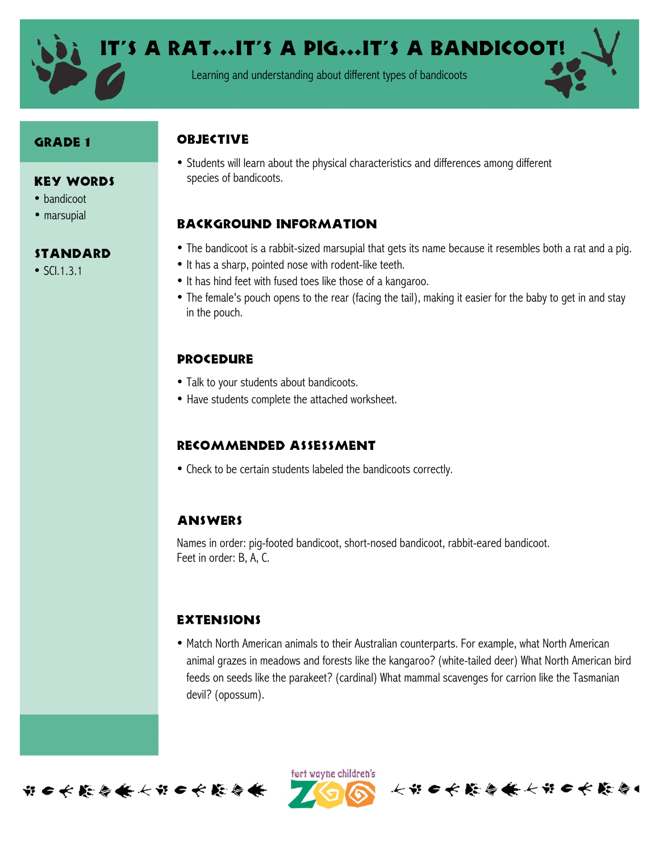

Learning and understanding about different types of bandicoots

#### Grade 1

#### Key Words

- bandicoot
- marsupial

## **STANDARD**

• SCI.1.3.1

# **OBJECTIVE**

• Students will learn about the physical characteristics and differences among different species of bandicoots.

# Background information

- The bandicoot is a rabbit-sized marsupial that gets its name because it resembles both a rat and a pig.
- It has a sharp, pointed nose with rodent-like teeth.
- It has hind feet with fused toes like those of a kangaroo.
- The female's pouch opens to the rear (facing the tail), making it easier for the baby to get in and stay in the pouch.

# **PROCEDURE**

- Talk to your students about bandicoots.
- Have students complete the attached worksheet.

## Recommended assessment

• Check to be certain students labeled the bandicoots correctly.

## **ANSWERS**

Names in order: pig-footed bandicoot, short-nosed bandicoot, rabbit-eared bandicoot. Feet in order: B, A, C.

## **EXTENSIONS**

• Match North American animals to their Australian counterparts. For example, what North American animal grazes in meadows and forests like the kangaroo? (white-tailed deer) What North American bird feeds on seeds like the parakeet? (cardinal) What mammal scavenges for carrion like the Tasmanian devil? (opossum).



ført wayne children's